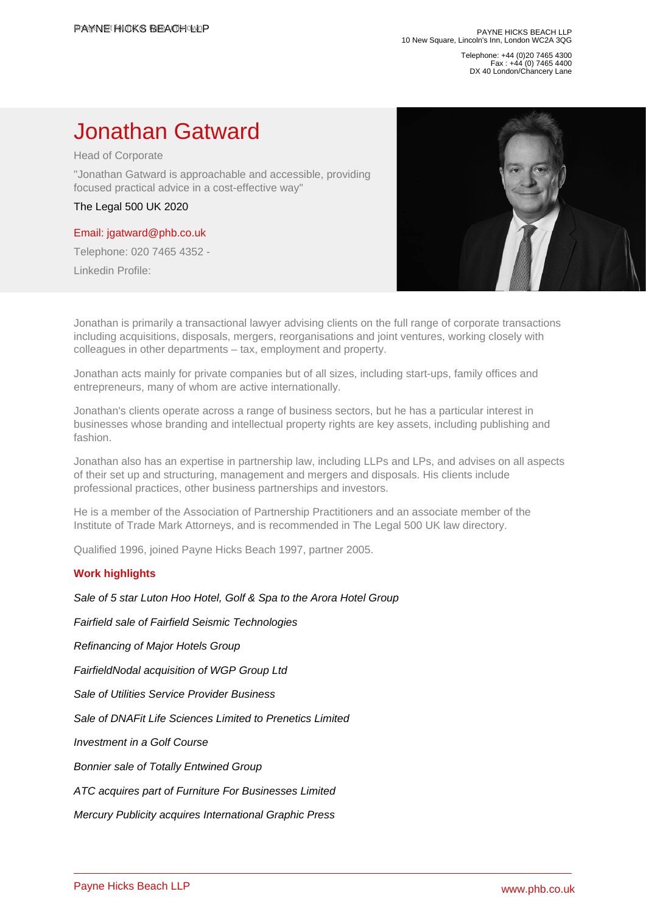Telephone: +44 (0)20 7465 4300 Fax : +44 (0) 7465 4400 DX 40 London/Chancery Lane

## Jonathan Gatward

Head of Corporate

"Jonathan Gatward is approachable and accessible, providing focused practical advice in a cost-effective way"

The Legal 500 UK 2020

## [Email: jgatward@phb.co.uk](�� m a i l t o : j g a t w a r d @ p h b . c o . u k)

Telephone: 020 7465 4352 -

Linkedin Profile:

Jonathan is primarily a transactional lawyer advising clients on the full range of corporate transactions including acquisitions, disposals, mergers, reorganisations and joint ventures, working closely with colleagues in other departments – tax, employment and property.

Jonathan acts mainly for private companies but of all sizes, including start-ups, family offices and entrepreneurs, many of whom are active internationally.

Jonathan's clients operate across a range of business sectors, but he has a particular interest in businesses whose branding and intellectual property rights are key assets, including publishing and fashion.

Jonathan also has an expertise in partnership law, including LLPs and LPs, and advises on all aspects of their set up and structuring, management and mergers and disposals. His clients include professional practices, other business partnerships and investors.

He is a member of the Association of Partnership Practitioners and an associate member of the Institute of Trade Mark Attorneys, and is recommended in The Legal 500 UK law directory.

Qualified 1996, joined Payne Hicks Beach 1997, partner 2005.

## Work highlights

[Sale of 5 star Luton Hoo Hotel, Golf & Spa to the Arora Hotel Group](�� h t t p s : / / w w w . p h b . c o . u k / n e w s / s a l e - o f - 5 - s t a r - l u t o n - h o o - h o t e l - g o l f - s p a - t o - t h e - a r o r a - h o t e l - g r o u p)

[Fairfield sale of Fairfield Seismic Technologies](�� h t t p s : / / w w w . p h b . c o . u k / n e w s / f a i r f i e l d - s a l e - o f - f a i r f i e l d - s e i s m i c - t e c h n o l o g i e s)

[Refinancing of Major Hotels Group](�� h t t p s : / / w w w . p h b . c o . u k / n e w s / r e f i n a n c i n g - o f - m a j o r - h o t e l s - g r o u p)

[FairfieldNodal acquisition of WGP Group Ltd](�� h t t p s : / / w w w . p h b . c o . u k / n e w s / f a i r f i e l d n o d a l - a c q u i s i t i o n - o f - w g p - g r o u p - l t d)

[Sale of Utilities Service Provider Business](�� h t t p s : / / w w w . p h b . c o . u k / n e w s / s a l e - o f - u t i l i t i e s - s e r v i c e - p r o v i d e r - b u s i n e s s)

[Sale of DNAFit Life Sciences Limited to Prenetics Limited](�� h t t p s : / / w w w . p h b . c o . u k / n e w s / p a y n e - h i c k s - b e a c h - a d v i s e s - o n - t h e - s a l e - o f - d n a f i t - l i f e - s c i e n c e s - l i m i t e d - t o - p r e n e t i c s - l i m i t e d)

[Investment in a Golf Course](�� h t t p s : / / w w w . p h b . c o . u k / n e w s / i n v e s t m e n t - i n - a - g o l f - c o u r s e)

[Bonnier sale of Totally Entwined Group](�� h t t p s : / / w w w . p h b . c o . u k / n e w s / b o n n i e r - s a l e - o f - t o t a l l y - e n t w i n e d - g r o u p)

[ATC acquires part of Furniture For Businesses Limited](�� h t t p s : / / w w w . p h b . c o . u k / n e w s / a t c - a c q u i r e s - p a r t - o f - f u r n i t u r e - f o r - b u s i n e s s e s - l i m i t e d)

[Mercury Publicity acquires International Graphic Press](�� h t t p s : / / w w w . p h b . c o . u k / n e w s / m e r c u r y - p u b l i c i t y - a c q u i r e s - i n t e r n a t i o n a l - g r a p h i c - p r e s s)